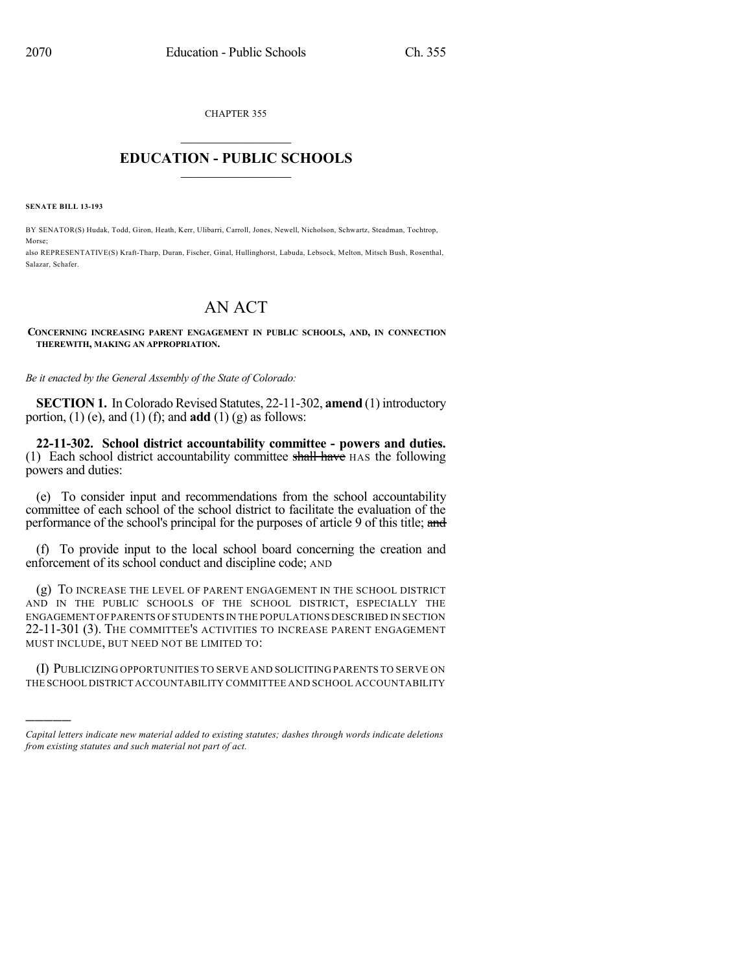CHAPTER 355

## $\overline{\phantom{a}}$  . The set of the set of the set of the set of the set of the set of the set of the set of the set of the set of the set of the set of the set of the set of the set of the set of the set of the set of the set o **EDUCATION - PUBLIC SCHOOLS**  $\_$   $\_$   $\_$   $\_$   $\_$   $\_$   $\_$   $\_$   $\_$

**SENATE BILL 13-193**

)))))

BY SENATOR(S) Hudak, Todd, Giron, Heath, Kerr, Ulibarri, Carroll, Jones, Newell, Nicholson, Schwartz, Steadman, Tochtrop, Morse;

also REPRESENTATIVE(S) Kraft-Tharp, Duran, Fischer, Ginal, Hullinghorst, Labuda, Lebsock, Melton, Mitsch Bush, Rosenthal, Salazar, Schafer.

# AN ACT

#### **CONCERNING INCREASING PARENT ENGAGEMENT IN PUBLIC SCHOOLS, AND, IN CONNECTION THEREWITH, MAKING AN APPROPRIATION.**

*Be it enacted by the General Assembly of the State of Colorado:*

**SECTION 1.** In Colorado Revised Statutes, 22-11-302, **amend** (1) introductory portion,  $(1)$  (e), and  $(1)$  (f); and **add**  $(1)$  (g) as follows:

**22-11-302. School district accountability committee - powers and duties.** (1) Each school district accountability committee shall have  $\text{HAS}$  the following powers and duties:

(e) To consider input and recommendations from the school accountability committee of each school of the school district to facilitate the evaluation of the performance of the school's principal for the purposes of article 9 of this title; and

(f) To provide input to the local school board concerning the creation and enforcement of its school conduct and discipline code; AND

(g) TO INCREASE THE LEVEL OF PARENT ENGAGEMENT IN THE SCHOOL DISTRICT AND IN THE PUBLIC SCHOOLS OF THE SCHOOL DISTRICT, ESPECIALLY THE ENGAGEMENT OFPARENTS OF STUDENTS IN THE POPULATIONS DESCRIBED IN SECTION 22-11-301 (3). THE COMMITTEE'S ACTIVITIES TO INCREASE PARENT ENGAGEMENT MUST INCLUDE, BUT NEED NOT BE LIMITED TO:

(I) PUBLICIZING OPPORTUNITIES TO SERVE AND SOLICITING PARENTS TO SERVE ON THE SCHOOL DISTRICT ACCOUNTABILITY COMMITTEE AND SCHOOL ACCOUNTABILITY

*Capital letters indicate new material added to existing statutes; dashes through words indicate deletions from existing statutes and such material not part of act.*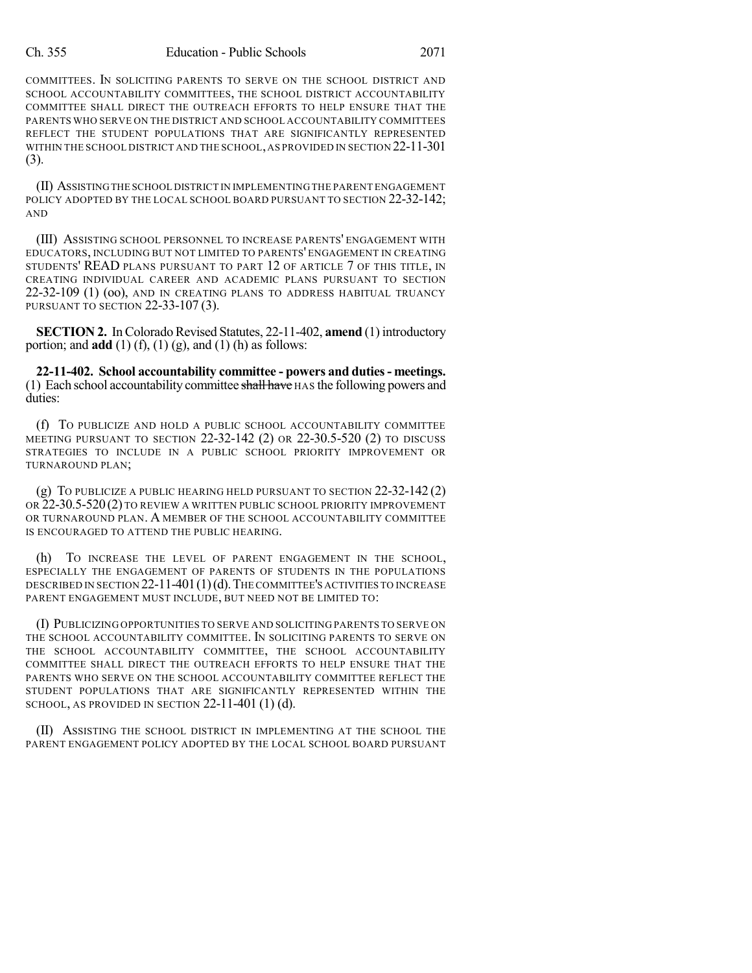#### Ch. 355 Education - Public Schools 2071

COMMITTEES. IN SOLICITING PARENTS TO SERVE ON THE SCHOOL DISTRICT AND SCHOOL ACCOUNTABILITY COMMITTEES, THE SCHOOL DISTRICT ACCOUNTABILITY COMMITTEE SHALL DIRECT THE OUTREACH EFFORTS TO HELP ENSURE THAT THE PARENTS WHO SERVE ON THE DISTRICT AND SCHOOL ACCOUNTABILITY COMMITTEES REFLECT THE STUDENT POPULATIONS THAT ARE SIGNIFICANTLY REPRESENTED WITHIN THE SCHOOL DISTRICT AND THE SCHOOL,AS PROVIDED IN SECTION 22-11-301 (3).

(II) ASSISTINGTHE SCHOOL DISTRICT IN IMPLEMENTING THE PARENT ENGAGEMENT POLICY ADOPTED BY THE LOCAL SCHOOL BOARD PURSUANT TO SECTION 22-32-142; AND

(III) ASSISTING SCHOOL PERSONNEL TO INCREASE PARENTS' ENGAGEMENT WITH EDUCATORS, INCLUDING BUT NOT LIMITED TO PARENTS' ENGAGEMENT IN CREATING STUDENTS' READ PLANS PURSUANT TO PART 12 OF ARTICLE 7 OF THIS TITLE, IN CREATING INDIVIDUAL CAREER AND ACADEMIC PLANS PURSUANT TO SECTION 22-32-109 (1) (oo), AND IN CREATING PLANS TO ADDRESS HABITUAL TRUANCY PURSUANT TO SECTION 22-33-107 (3).

**SECTION 2.** In Colorado Revised Statutes, 22-11-402, **amend** (1) introductory portion; and **add** (1) (f), (1) (g), and (1) (h) as follows:

**22-11-402. School accountability committee - powers and duties- meetings.** (1) Each school accountability committee shall have  $HAS$  the following powers and duties:

(f) TO PUBLICIZE AND HOLD A PUBLIC SCHOOL ACCOUNTABILITY COMMITTEE MEETING PURSUANT TO SECTION 22-32-142 (2) OR 22-30.5-520 (2) TO DISCUSS STRATEGIES TO INCLUDE IN A PUBLIC SCHOOL PRIORITY IMPROVEMENT OR TURNAROUND PLAN;

(g) TO PUBLICIZE A PUBLIC HEARING HELD PURSUANT TO SECTION 22-32-142 (2) OR 22-30.5-520 (2) TO REVIEW A WRITTEN PUBLIC SCHOOL PRIORITY IMPROVEMENT OR TURNAROUND PLAN. A MEMBER OF THE SCHOOL ACCOUNTABILITY COMMITTEE IS ENCOURAGED TO ATTEND THE PUBLIC HEARING.

(h) TO INCREASE THE LEVEL OF PARENT ENGAGEMENT IN THE SCHOOL, ESPECIALLY THE ENGAGEMENT OF PARENTS OF STUDENTS IN THE POPULATIONS DESCRIBED IN SECTION 22-11-401(1)(d).THE COMMITTEE'S ACTIVITIES TO INCREASE PARENT ENGAGEMENT MUST INCLUDE, BUT NEED NOT BE LIMITED TO:

(I) PUBLICIZING OPPORTUNITIES TO SERVE AND SOLICITING PARENTS TO SERVE ON THE SCHOOL ACCOUNTABILITY COMMITTEE. IN SOLICITING PARENTS TO SERVE ON THE SCHOOL ACCOUNTABILITY COMMITTEE, THE SCHOOL ACCOUNTABILITY COMMITTEE SHALL DIRECT THE OUTREACH EFFORTS TO HELP ENSURE THAT THE PARENTS WHO SERVE ON THE SCHOOL ACCOUNTABILITY COMMITTEE REFLECT THE STUDENT POPULATIONS THAT ARE SIGNIFICANTLY REPRESENTED WITHIN THE SCHOOL, AS PROVIDED IN SECTION  $22-11-401$  (1) (d).

(II) ASSISTING THE SCHOOL DISTRICT IN IMPLEMENTING AT THE SCHOOL THE PARENT ENGAGEMENT POLICY ADOPTED BY THE LOCAL SCHOOL BOARD PURSUANT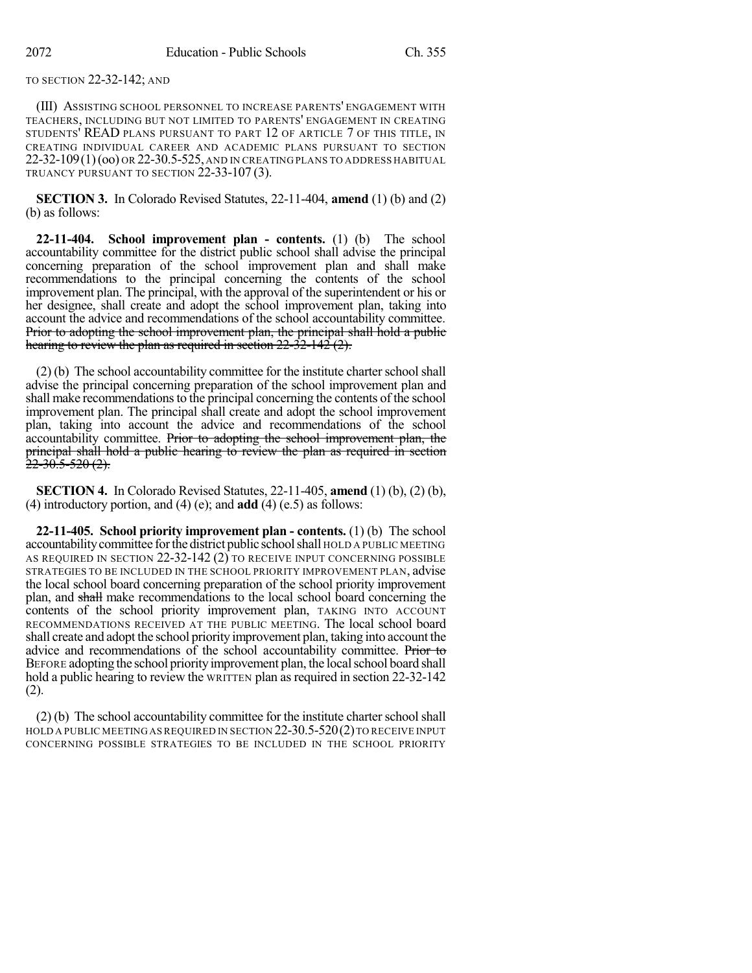### TO SECTION 22-32-142; AND

(III) ASSISTING SCHOOL PERSONNEL TO INCREASE PARENTS' ENGAGEMENT WITH TEACHERS, INCLUDING BUT NOT LIMITED TO PARENTS' ENGAGEMENT IN CREATING STUDENTS' READ PLANS PURSUANT TO PART 12 OF ARTICLE 7 OF THIS TITLE, IN CREATING INDIVIDUAL CAREER AND ACADEMIC PLANS PURSUANT TO SECTION 22-32-109(1)(oo) OR 22-30.5-525, AND IN CREATING PLANS TO ADDRESS HABITUAL TRUANCY PURSUANT TO SECTION 22-33-107 (3).

**SECTION 3.** In Colorado Revised Statutes, 22-11-404, **amend** (1) (b) and (2) (b) as follows:

**22-11-404. School improvement plan - contents.** (1) (b) The school accountability committee for the district public school shall advise the principal concerning preparation of the school improvement plan and shall make recommendations to the principal concerning the contents of the school improvement plan. The principal, with the approval of the superintendent or his or her designee, shall create and adopt the school improvement plan, taking into account the advice and recommendations of the school accountability committee. Prior to adopting the school improvement plan, the principal shall hold a public hearing to review the plan as required in section  $22 - 32 - 142$  (2).

 $(2)$  (b) The school accountability committee for the institute charter school shall advise the principal concerning preparation of the school improvement plan and shall make recommendations to the principal concerning the contents of the school improvement plan. The principal shall create and adopt the school improvement plan, taking into account the advice and recommendations of the school accountability committee. Prior to adopting the school improvement plan, the principal shall hold a public hearing to review the plan as required in section <del>22-30.5-520 (2).</del>

**SECTION 4.** In Colorado Revised Statutes, 22-11-405, **amend** (1) (b), (2) (b), (4) introductory portion, and (4) (e); and **add** (4) (e.5) as follows:

**22-11-405. School priority improvement plan - contents.** (1) (b) The school accountabilitycommittee forthe district public schoolshall HOLD A PUBLIC MEETING AS REQUIRED IN SECTION 22-32-142 (2) TO RECEIVE INPUT CONCERNING POSSIBLE STRATEGIES TO BE INCLUDED IN THE SCHOOL PRIORITY IMPROVEMENT PLAN, advise the local school board concerning preparation of the school priority improvement plan, and shall make recommendations to the local school board concerning the contents of the school priority improvement plan, TAKING INTO ACCOUNT RECOMMENDATIONS RECEIVED AT THE PUBLIC MEETING. The local school board shall create and adopt the school priority improvement plan, taking into account the advice and recommendations of the school accountability committee. Prior to BEFORE adopting the school priority improvement plan, the local school board shall hold a public hearing to review the WRITTEN plan as required in section 22-32-142 (2).

 $(2)$  (b) The school accountability committee for the institute charter school shall HOLD A PUBLIC MEETING AS REQUIRED IN SECTION  $22-30.5-520(2)$  TO RECEIVE INPUT CONCERNING POSSIBLE STRATEGIES TO BE INCLUDED IN THE SCHOOL PRIORITY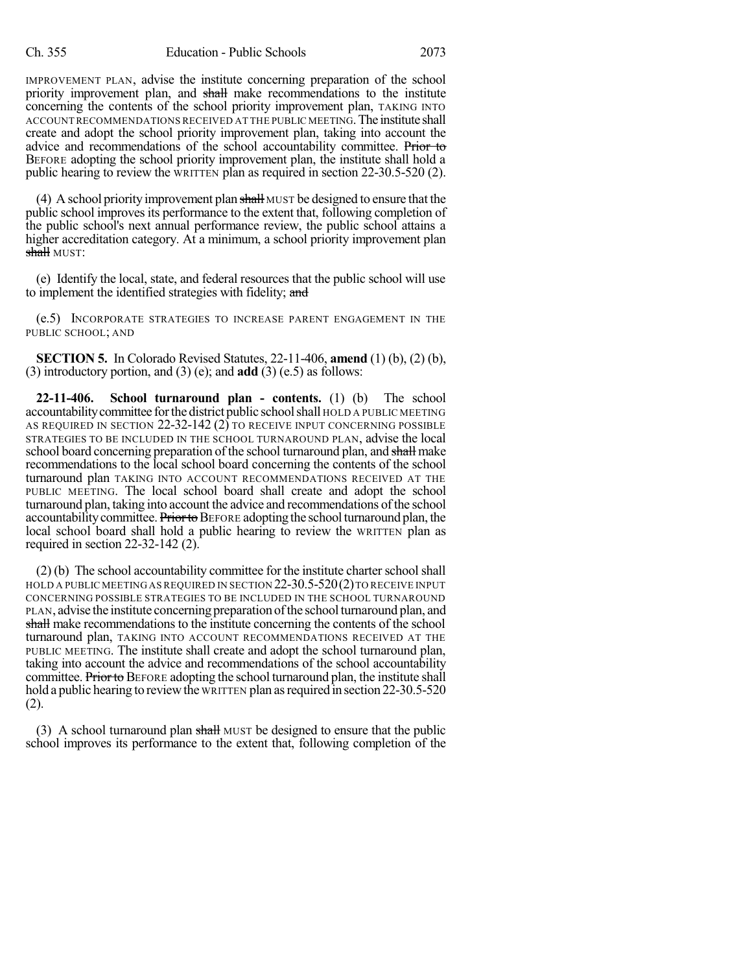IMPROVEMENT PLAN, advise the institute concerning preparation of the school priority improvement plan, and shall make recommendations to the institute concerning the contents of the school priority improvement plan, TAKING INTO ACCOUNT RECOMMENDATIONS RECEIVED AT THE PUBLIC MEETING.The institute shall create and adopt the school priority improvement plan, taking into account the advice and recommendations of the school accountability committee. Prior to BEFORE adopting the school priority improvement plan, the institute shall hold a public hearing to review the WRITTEN plan as required in section 22-30.5-520 (2).

(4) A school priority improvement plan  $\frac{1}{2}$  MUST be designed to ensure that the public school improves its performance to the extent that, following completion of the public school's next annual performance review, the public school attains a higher accreditation category. At a minimum, a school priority improvement plan shall MUST:

(e) Identify the local, state, and federal resources that the public school will use to implement the identified strategies with fidelity; and

(e.5) INCORPORATE STRATEGIES TO INCREASE PARENT ENGAGEMENT IN THE PUBLIC SCHOOL; AND

**SECTION 5.** In Colorado Revised Statutes, 22-11-406, **amend** (1) (b), (2) (b), (3) introductory portion, and (3) (e); and **add** (3) (e.5) as follows:

**22-11-406. School turnaround plan - contents.** (1) (b) The school accountabilitycommittee forthe district public schoolshall HOLD A PUBLIC MEETING AS REQUIRED IN SECTION  $22-32-142(2)$  to receive input concerning possible STRATEGIES TO BE INCLUDED IN THE SCHOOL TURNAROUND PLAN, advise the local school board concerning preparation of the school turnaround plan, and shall make recommendations to the local school board concerning the contents of the school turnaround plan TAKING INTO ACCOUNT RECOMMENDATIONS RECEIVED AT THE PUBLIC MEETING. The local school board shall create and adopt the school turnaround plan, taking into account the advice and recommendations of the school accountability committee. Prior to BEFORE adopting the school turnaround plan, the local school board shall hold a public hearing to review the WRITTEN plan as required in section 22-32-142 (2).

(2) (b) The school accountability committee for the institute charterschoolshall HOLD A PUBLIC MEETING AS REQUIRED IN SECTION  $22-30.5-520(2)$  TO RECEIVE INPUT CONCERNING POSSIBLE STRATEGIES TO BE INCLUDED IN THE SCHOOL TURNAROUND PLAN, advise the institute concerning preparation of the school turnaround plan, and shall make recommendations to the institute concerning the contents of the school turnaround plan, TAKING INTO ACCOUNT RECOMMENDATIONS RECEIVED AT THE PUBLIC MEETING. The institute shall create and adopt the school turnaround plan, taking into account the advice and recommendations of the school accountability committee. Prior to BEFORE adopting the school turnaround plan, the institute shall hold a public hearing to review the WRITTEN plan as required in section 22-30.5-520 (2).

(3) A school turnaround plan shall MUST be designed to ensure that the public school improves its performance to the extent that, following completion of the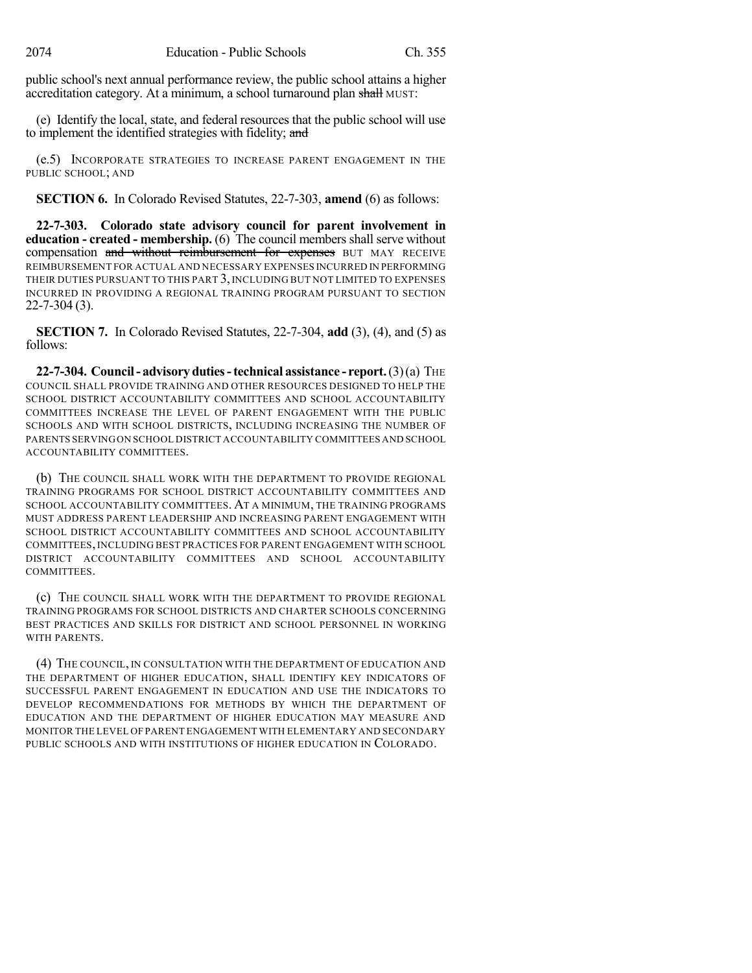public school's next annual performance review, the public school attains a higher accreditation category. At a minimum, a school turnaround plan shall MUST:

(e) Identify the local, state, and federal resources that the public school will use to implement the identified strategies with fidelity; and

(e.5) INCORPORATE STRATEGIES TO INCREASE PARENT ENGAGEMENT IN THE PUBLIC SCHOOL; AND

**SECTION 6.** In Colorado Revised Statutes, 22-7-303, **amend** (6) as follows:

**22-7-303. Colorado state advisory council for parent involvement in education - created - membership.** (6) The council members shall serve without compensation and without reimbursement for expenses BUT MAY RECEIVE REIMBURSEMENT FOR ACTUAL AND NECESSARY EXPENSES INCURRED IN PERFORMING THEIR DUTIES PURSUANT TO THIS PART 3, INCLUDING BUT NOT LIMITED TO EXPENSES INCURRED IN PROVIDING A REGIONAL TRAINING PROGRAM PURSUANT TO SECTION 22-7-304 (3).

**SECTION 7.** In Colorado Revised Statutes, 22-7-304, **add** (3), (4), and (5) as follows:

**22-7-304. Council- advisoryduties-technical assistance - report.**(3)(a) THE COUNCIL SHALL PROVIDE TRAINING AND OTHER RESOURCES DESIGNED TO HELP THE SCHOOL DISTRICT ACCOUNTABILITY COMMITTEES AND SCHOOL ACCOUNTABILITY COMMITTEES INCREASE THE LEVEL OF PARENT ENGAGEMENT WITH THE PUBLIC SCHOOLS AND WITH SCHOOL DISTRICTS, INCLUDING INCREASING THE NUMBER OF PARENTS SERVINGON SCHOOL DISTRICT ACCOUNTABILITY COMMITTEES AND SCHOOL ACCOUNTABILITY COMMITTEES.

(b) THE COUNCIL SHALL WORK WITH THE DEPARTMENT TO PROVIDE REGIONAL TRAINING PROGRAMS FOR SCHOOL DISTRICT ACCOUNTABILITY COMMITTEES AND SCHOOL ACCOUNTABILITY COMMITTEES. AT A MINIMUM, THE TRAINING PROGRAMS MUST ADDRESS PARENT LEADERSHIP AND INCREASING PARENT ENGAGEMENT WITH SCHOOL DISTRICT ACCOUNTABILITY COMMITTEES AND SCHOOL ACCOUNTABILITY COMMITTEES, INCLUDING BEST PRACTICES FOR PARENT ENGAGEMENT WITH SCHOOL DISTRICT ACCOUNTABILITY COMMITTEES AND SCHOOL ACCOUNTABILITY COMMITTEES.

(c) THE COUNCIL SHALL WORK WITH THE DEPARTMENT TO PROVIDE REGIONAL TRAINING PROGRAMS FOR SCHOOL DISTRICTS AND CHARTER SCHOOLS CONCERNING BEST PRACTICES AND SKILLS FOR DISTRICT AND SCHOOL PERSONNEL IN WORKING WITH PARENTS.

(4) THE COUNCIL, IN CONSULTATION WITH THE DEPARTMENT OF EDUCATION AND THE DEPARTMENT OF HIGHER EDUCATION, SHALL IDENTIFY KEY INDICATORS OF SUCCESSFUL PARENT ENGAGEMENT IN EDUCATION AND USE THE INDICATORS TO DEVELOP RECOMMENDATIONS FOR METHODS BY WHICH THE DEPARTMENT OF EDUCATION AND THE DEPARTMENT OF HIGHER EDUCATION MAY MEASURE AND MONITOR THE LEVEL OF PARENT ENGAGEMENT WITH ELEMENTARY AND SECONDARY PUBLIC SCHOOLS AND WITH INSTITUTIONS OF HIGHER EDUCATION IN COLORADO.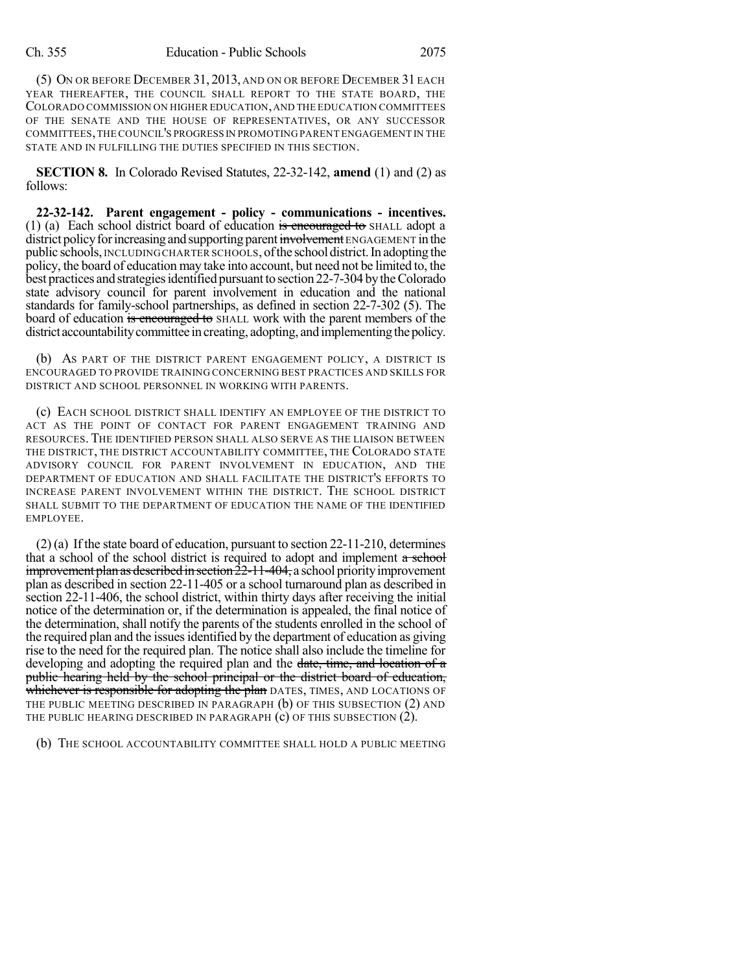(5) ON OR BEFORE DECEMBER 31, 2013, AND ON OR BEFORE DECEMBER 31 EACH YEAR THEREAFTER, THE COUNCIL SHALL REPORT TO THE STATE BOARD, THE COLORADO COMMISSION ON HIGHER EDUCATION,AND THE EDUCATION COMMITTEES OF THE SENATE AND THE HOUSE OF REPRESENTATIVES, OR ANY SUCCESSOR COMMITTEES,THE COUNCIL'S PROGRESS IN PROMOTING PARENT ENGAGEMENT IN THE STATE AND IN FULFILLING THE DUTIES SPECIFIED IN THIS SECTION.

**SECTION 8.** In Colorado Revised Statutes, 22-32-142, **amend** (1) and (2) as follows:

**22-32-142. Parent engagement - policy - communications - incentives.** (1) (a) Each school district board of education is encouraged to SHALL adopt a district policy for increasing and supporting parent involvement ENGAGEMENT in the public schools, INCLUDING CHARTER SCHOOLS, ofthe school district.In adopting the policy, the board of education may take into account, but need not be limited to, the best practices and strategies identified pursuant to section 22-7-304 by the Colorado state advisory council for parent involvement in education and the national standards for family-school partnerships, as defined in section 22-7-302 (5). The board of education is encouraged to SHALL work with the parent members of the district accountability committee in creating, adopting, and implementing the policy.

(b) AS PART OF THE DISTRICT PARENT ENGAGEMENT POLICY, A DISTRICT IS ENCOURAGED TO PROVIDE TRAINING CONCERNING BEST PRACTICES AND SKILLS FOR DISTRICT AND SCHOOL PERSONNEL IN WORKING WITH PARENTS.

(c) EACH SCHOOL DISTRICT SHALL IDENTIFY AN EMPLOYEE OF THE DISTRICT TO ACT AS THE POINT OF CONTACT FOR PARENT ENGAGEMENT TRAINING AND RESOURCES. THE IDENTIFIED PERSON SHALL ALSO SERVE AS THE LIAISON BETWEEN THE DISTRICT, THE DISTRICT ACCOUNTABILITY COMMITTEE, THE COLORADO STATE ADVISORY COUNCIL FOR PARENT INVOLVEMENT IN EDUCATION, AND THE DEPARTMENT OF EDUCATION AND SHALL FACILITATE THE DISTRICT'S EFFORTS TO INCREASE PARENT INVOLVEMENT WITHIN THE DISTRICT. THE SCHOOL DISTRICT SHALL SUBMIT TO THE DEPARTMENT OF EDUCATION THE NAME OF THE IDENTIFIED EMPLOYEE.

(2) (a) If the state board of education, pursuant to section 22-11-210, determines that a school of the school district is required to adopt and implement  $a$  school  $improvement plan as described in section 22-11-404, a school priority improvement$ plan as described in section 22-11-405 or a school turnaround plan as described in section 22-11-406, the school district, within thirty days after receiving the initial notice of the determination or, if the determination is appealed, the final notice of the determination, shall notify the parents of the students enrolled in the school of the required plan and the issues identified by the department of education as giving rise to the need for the required plan. The notice shall also include the timeline for developing and adopting the required plan and the date, time, and location of a public hearing held by the school principal or the district board of education, whichever is responsible for adopting the plan DATES, TIMES, AND LOCATIONS OF THE PUBLIC MEETING DESCRIBED IN PARAGRAPH (b) OF THIS SUBSECTION (2) AND THE PUBLIC HEARING DESCRIBED IN PARAGRAPH (c) OF THIS SUBSECTION (2).

(b) THE SCHOOL ACCOUNTABILITY COMMITTEE SHALL HOLD A PUBLIC MEETING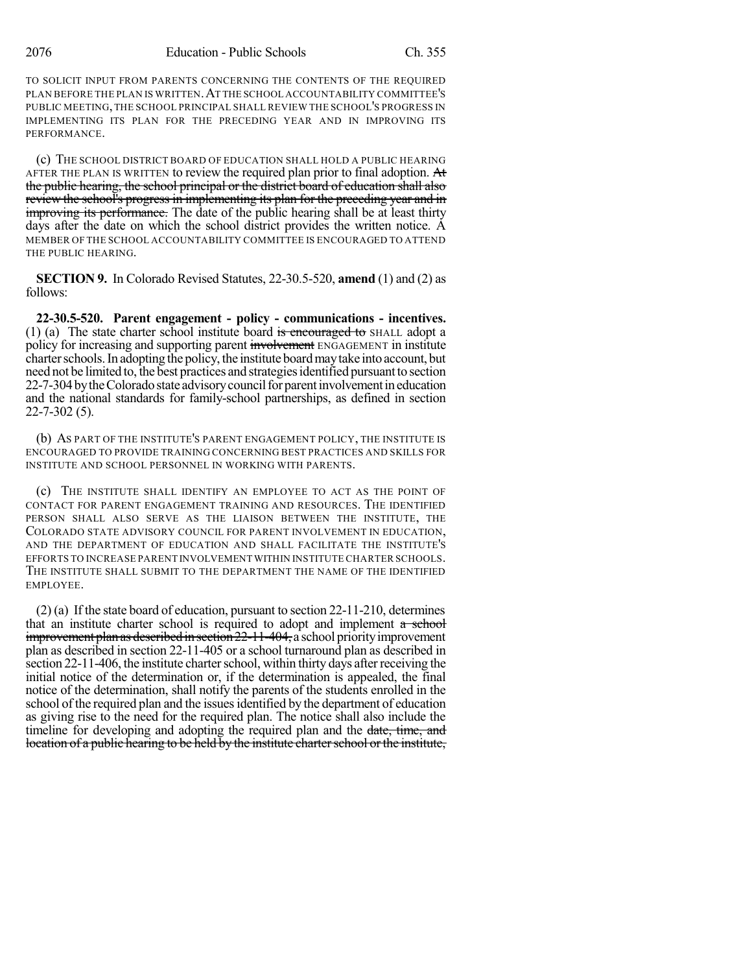TO SOLICIT INPUT FROM PARENTS CONCERNING THE CONTENTS OF THE REQUIRED PLAN BEFORE THE PLAN IS WRITTEN.AT THE SCHOOL ACCOUNTABILITY COMMITTEE'S PUBLIC MEETING,THE SCHOOL PRINCIPAL SHALL REVIEW THE SCHOOL'S PROGRESS IN IMPLEMENTING ITS PLAN FOR THE PRECEDING YEAR AND IN IMPROVING ITS PERFORMANCE.

(c) THE SCHOOL DISTRICT BOARD OF EDUCATION SHALL HOLD A PUBLIC HEARING AFTER THE PLAN IS WRITTEN to review the required plan prior to final adoption. At the public hearing, the school principal or the district board of education shall also review the school's progress in implementing its plan for the preceding year and in improving its performance. The date of the public hearing shall be at least thirty days after the date on which the school district provides the written notice. A MEMBER OF THE SCHOOL ACCOUNTABILITY COMMITTEE IS ENCOURAGED TO ATTEND THE PUBLIC HEARING.

**SECTION 9.** In Colorado Revised Statutes, 22-30.5-520, **amend** (1) and (2) as follows:

**22-30.5-520. Parent engagement - policy - communications - incentives.** (1) (a) The state charter school institute board is encouraged to SHALL adopt a policy for increasing and supporting parent involvement ENGAGEMENT in institute charter schools. In adopting the policy, the institute board may take into account, but need not be limited to, the best practices and strategies identified pursuant to section 22-7-304 by the Colorado state advisory council for parent involvement in education and the national standards for family-school partnerships, as defined in section 22-7-302 (5).

(b) AS PART OF THE INSTITUTE'S PARENT ENGAGEMENT POLICY, THE INSTITUTE IS ENCOURAGED TO PROVIDE TRAINING CONCERNING BEST PRACTICES AND SKILLS FOR INSTITUTE AND SCHOOL PERSONNEL IN WORKING WITH PARENTS.

(c) THE INSTITUTE SHALL IDENTIFY AN EMPLOYEE TO ACT AS THE POINT OF CONTACT FOR PARENT ENGAGEMENT TRAINING AND RESOURCES. THE IDENTIFIED PERSON SHALL ALSO SERVE AS THE LIAISON BETWEEN THE INSTITUTE, THE COLORADO STATE ADVISORY COUNCIL FOR PARENT INVOLVEMENT IN EDUCATION, AND THE DEPARTMENT OF EDUCATION AND SHALL FACILITATE THE INSTITUTE'S EFFORTS TO INCREASE PARENT INVOLVEMENT WITHIN INSTITUTE CHARTER SCHOOLS. THE INSTITUTE SHALL SUBMIT TO THE DEPARTMENT THE NAME OF THE IDENTIFIED EMPLOYEE.

(2) (a) If the state board of education, pursuant to section 22-11-210, determines that an institute charter school is required to adopt and implement  $a$  school improvement plan as described in section  $22-11-404$ , a school priority improvement plan as described in section 22-11-405 or a school turnaround plan as described in section 22-11-406, the institute charter school, within thirty days after receiving the initial notice of the determination or, if the determination is appealed, the final notice of the determination, shall notify the parents of the students enrolled in the school of the required plan and the issues identified by the department of education as giving rise to the need for the required plan. The notice shall also include the timeline for developing and adopting the required plan and the date, time, and location of a public hearing to be held by the institute charter school or the institute,